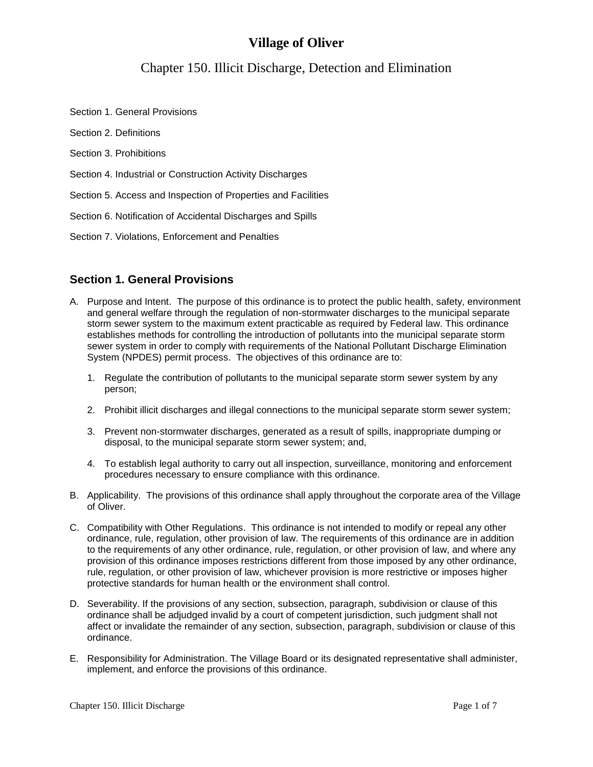# **Village of Oliver**

# Chapter 150. Illicit Discharge, Detection and Elimination

Section 1. General Provisions

- Section 2. Definitions
- Section 3. Prohibitions
- Section 4. Industrial or Construction Activity Discharges
- Section 5. Access and Inspection of Properties and Facilities
- Section 6. Notification of Accidental Discharges and Spills
- Section 7. Violations, Enforcement and Penalties

## **Section 1. General Provisions**

- A. Purpose and Intent. The purpose of this ordinance is to protect the public health, safety, environment and general welfare through the regulation of non-stormwater discharges to the municipal separate storm sewer system to the maximum extent practicable as required by Federal law. This ordinance establishes methods for controlling the introduction of pollutants into the municipal separate storm sewer system in order to comply with requirements of the National Pollutant Discharge Elimination System (NPDES) permit process. The objectives of this ordinance are to:
	- 1. Regulate the contribution of pollutants to the municipal separate storm sewer system by any person;
	- 2. Prohibit illicit discharges and illegal connections to the municipal separate storm sewer system;
	- 3. Prevent non-stormwater discharges, generated as a result of spills, inappropriate dumping or disposal, to the municipal separate storm sewer system; and,
	- 4. To establish legal authority to carry out all inspection, surveillance, monitoring and enforcement procedures necessary to ensure compliance with this ordinance.
- B. Applicability. The provisions of this ordinance shall apply throughout the corporate area of the Village of Oliver.
- C. Compatibility with Other Regulations. This ordinance is not intended to modify or repeal any other ordinance, rule, regulation, other provision of law. The requirements of this ordinance are in addition to the requirements of any other ordinance, rule, regulation, or other provision of law, and where any provision of this ordinance imposes restrictions different from those imposed by any other ordinance, rule, regulation, or other provision of law, whichever provision is more restrictive or imposes higher protective standards for human health or the environment shall control.
- D. Severability. If the provisions of any section, subsection, paragraph, subdivision or clause of this ordinance shall be adjudged invalid by a court of competent jurisdiction, such judgment shall not affect or invalidate the remainder of any section, subsection, paragraph, subdivision or clause of this ordinance.
- E. Responsibility for Administration. The Village Board or its designated representative shall administer, implement, and enforce the provisions of this ordinance.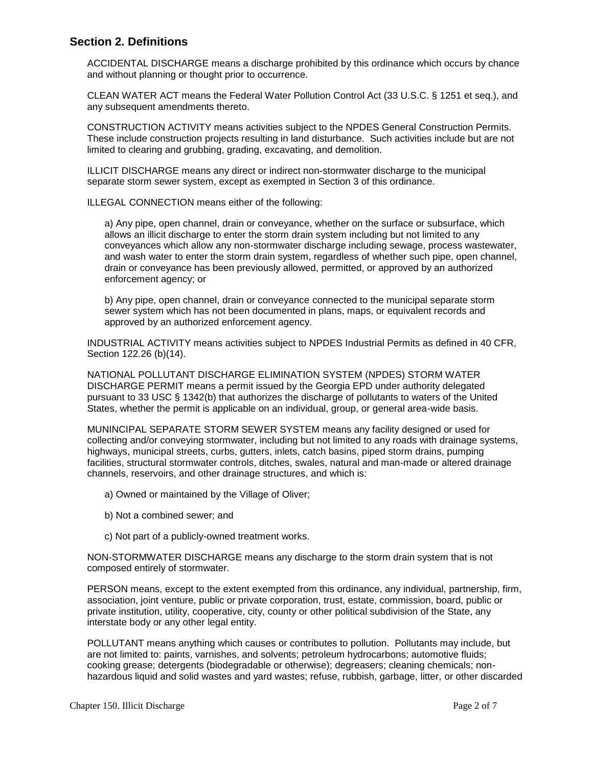## **Section 2. Definitions**

ACCIDENTAL DISCHARGE means a discharge prohibited by this ordinance which occurs by chance and without planning or thought prior to occurrence.

CLEAN WATER ACT means the Federal Water Pollution Control Act (33 U.S.C. § 1251 et seq.), and any subsequent amendments thereto.

CONSTRUCTION ACTIVITY means activities subject to the NPDES General Construction Permits. These include construction projects resulting in land disturbance. Such activities include but are not limited to clearing and grubbing, grading, excavating, and demolition.

ILLICIT DISCHARGE means any direct or indirect non-stormwater discharge to the municipal separate storm sewer system, except as exempted in Section 3 of this ordinance.

ILLEGAL CONNECTION means either of the following:

a) Any pipe, open channel, drain or conveyance, whether on the surface or subsurface, which allows an illicit discharge to enter the storm drain system including but not limited to any conveyances which allow any non-stormwater discharge including sewage, process wastewater, and wash water to enter the storm drain system, regardless of whether such pipe, open channel, drain or conveyance has been previously allowed, permitted, or approved by an authorized enforcement agency; or

b) Any pipe, open channel, drain or conveyance connected to the municipal separate storm sewer system which has not been documented in plans, maps, or equivalent records and approved by an authorized enforcement agency.

INDUSTRIAL ACTIVITY means activities subject to NPDES Industrial Permits as defined in 40 CFR, Section 122.26 (b)(14).

NATIONAL POLLUTANT DISCHARGE ELIMINATION SYSTEM (NPDES) STORM WATER DISCHARGE PERMIT means a permit issued by the Georgia EPD under authority delegated pursuant to 33 USC § 1342(b) that authorizes the discharge of pollutants to waters of the United States, whether the permit is applicable on an individual, group, or general area-wide basis.

MUNINCIPAL SEPARATE STORM SEWER SYSTEM means any facility designed or used for collecting and/or conveying stormwater, including but not limited to any roads with drainage systems, highways, municipal streets, curbs, gutters, inlets, catch basins, piped storm drains, pumping facilities, structural stormwater controls, ditches, swales, natural and man-made or altered drainage channels, reservoirs, and other drainage structures, and which is:

- a) Owned or maintained by the Village of Oliver;
- b) Not a combined sewer; and
- c) Not part of a publicly-owned treatment works.

NON-STORMWATER DISCHARGE means any discharge to the storm drain system that is not composed entirely of stormwater.

PERSON means, except to the extent exempted from this ordinance, any individual, partnership, firm, association, joint venture, public or private corporation, trust, estate, commission, board, public or private institution, utility, cooperative, city, county or other political subdivision of the State, any interstate body or any other legal entity.

POLLUTANT means anything which causes or contributes to pollution. Pollutants may include, but are not limited to: paints, varnishes, and solvents; petroleum hydrocarbons; automotive fluids; cooking grease; detergents (biodegradable or otherwise); degreasers; cleaning chemicals; nonhazardous liquid and solid wastes and yard wastes; refuse, rubbish, garbage, litter, or other discarded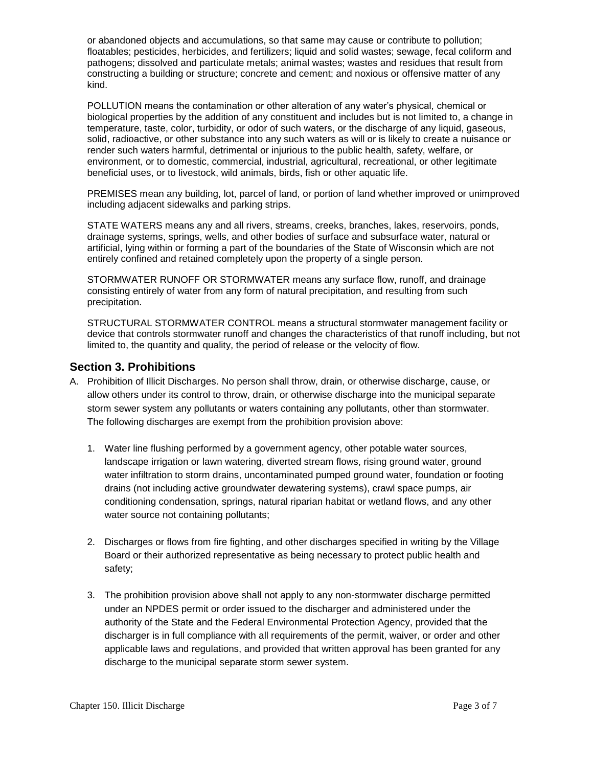or abandoned objects and accumulations, so that same may cause or contribute to pollution; floatables; pesticides, herbicides, and fertilizers; liquid and solid wastes; sewage, fecal coliform and pathogens; dissolved and particulate metals; animal wastes; wastes and residues that result from constructing a building or structure; concrete and cement; and noxious or offensive matter of any kind.

POLLUTION means the contamination or other alteration of any water's physical, chemical or biological properties by the addition of any constituent and includes but is not limited to, a change in temperature, taste, color, turbidity, or odor of such waters, or the discharge of any liquid, gaseous, solid, radioactive, or other substance into any such waters as will or is likely to create a nuisance or render such waters harmful, detrimental or injurious to the public health, safety, welfare, or environment, or to domestic, commercial, industrial, agricultural, recreational, or other legitimate beneficial uses, or to livestock, wild animals, birds, fish or other aquatic life.

PREMISES mean any building, lot, parcel of land, or portion of land whether improved or unimproved including adjacent sidewalks and parking strips.

STATE WATERS means any and all rivers, streams, creeks, branches, lakes, reservoirs, ponds, drainage systems, springs, wells, and other bodies of surface and subsurface water, natural or artificial, lying within or forming a part of the boundaries of the State of Wisconsin which are not entirely confined and retained completely upon the property of a single person.

STORMWATER RUNOFF OR STORMWATER means any surface flow, runoff, and drainage consisting entirely of water from any form of natural precipitation, and resulting from such precipitation.

STRUCTURAL STORMWATER CONTROL means a structural stormwater management facility or device that controls stormwater runoff and changes the characteristics of that runoff including, but not limited to, the quantity and quality, the period of release or the velocity of flow.

#### **Section 3. Prohibitions**

- A. Prohibition of Illicit Discharges. No person shall throw, drain, or otherwise discharge, cause, or allow others under its control to throw, drain, or otherwise discharge into the municipal separate storm sewer system any pollutants or waters containing any pollutants, other than stormwater. The following discharges are exempt from the prohibition provision above:
	- 1. Water line flushing performed by a government agency, other potable water sources, landscape irrigation or lawn watering, diverted stream flows, rising ground water, ground water infiltration to storm drains, uncontaminated pumped ground water, foundation or footing drains (not including active groundwater dewatering systems), crawl space pumps, air conditioning condensation, springs, natural riparian habitat or wetland flows, and any other water source not containing pollutants;
	- 2. Discharges or flows from fire fighting, and other discharges specified in writing by the Village Board or their authorized representative as being necessary to protect public health and safety;
	- 3. The prohibition provision above shall not apply to any non-stormwater discharge permitted under an NPDES permit or order issued to the discharger and administered under the authority of the State and the Federal Environmental Protection Agency, provided that the discharger is in full compliance with all requirements of the permit, waiver, or order and other applicable laws and regulations, and provided that written approval has been granted for any discharge to the municipal separate storm sewer system.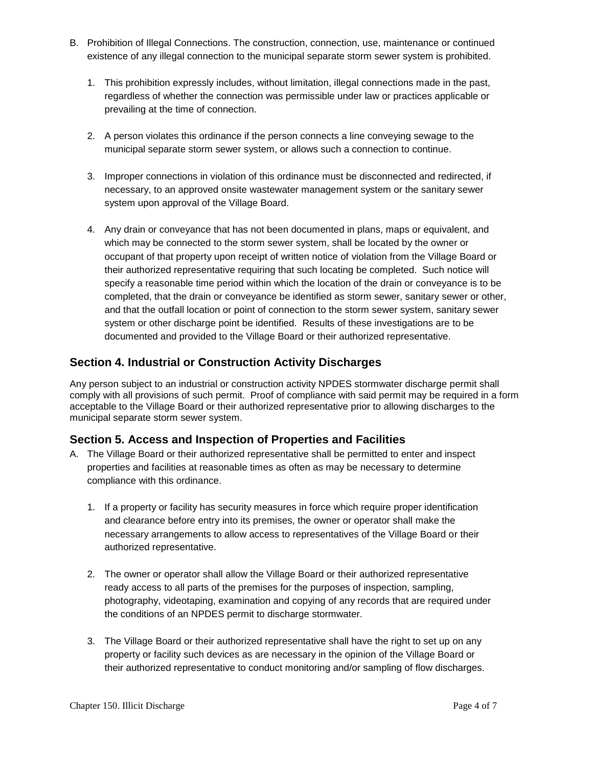- B. Prohibition of Illegal Connections. The construction, connection, use, maintenance or continued existence of any illegal connection to the municipal separate storm sewer system is prohibited.
	- 1. This prohibition expressly includes, without limitation, illegal connections made in the past, regardless of whether the connection was permissible under law or practices applicable or prevailing at the time of connection.
	- 2. A person violates this ordinance if the person connects a line conveying sewage to the municipal separate storm sewer system, or allows such a connection to continue.
	- 3. Improper connections in violation of this ordinance must be disconnected and redirected, if necessary, to an approved onsite wastewater management system or the sanitary sewer system upon approval of the Village Board.
	- 4. Any drain or conveyance that has not been documented in plans, maps or equivalent, and which may be connected to the storm sewer system, shall be located by the owner or occupant of that property upon receipt of written notice of violation from the Village Board or their authorized representative requiring that such locating be completed. Such notice will specify a reasonable time period within which the location of the drain or conveyance is to be completed, that the drain or conveyance be identified as storm sewer, sanitary sewer or other, and that the outfall location or point of connection to the storm sewer system, sanitary sewer system or other discharge point be identified. Results of these investigations are to be documented and provided to the Village Board or their authorized representative.

## **Section 4. Industrial or Construction Activity Discharges**

Any person subject to an industrial or construction activity NPDES stormwater discharge permit shall comply with all provisions of such permit. Proof of compliance with said permit may be required in a form acceptable to the Village Board or their authorized representative prior to allowing discharges to the municipal separate storm sewer system.

## **Section 5. Access and Inspection of Properties and Facilities**

- A. The Village Board or their authorized representative shall be permitted to enter and inspect properties and facilities at reasonable times as often as may be necessary to determine compliance with this ordinance.
	- 1. If a property or facility has security measures in force which require proper identification and clearance before entry into its premises, the owner or operator shall make the necessary arrangements to allow access to representatives of the Village Board or their authorized representative.
	- 2. The owner or operator shall allow the Village Board or their authorized representative ready access to all parts of the premises for the purposes of inspection, sampling, photography, videotaping, examination and copying of any records that are required under the conditions of an NPDES permit to discharge stormwater.
	- 3. The Village Board or their authorized representative shall have the right to set up on any property or facility such devices as are necessary in the opinion of the Village Board or their authorized representative to conduct monitoring and/or sampling of flow discharges.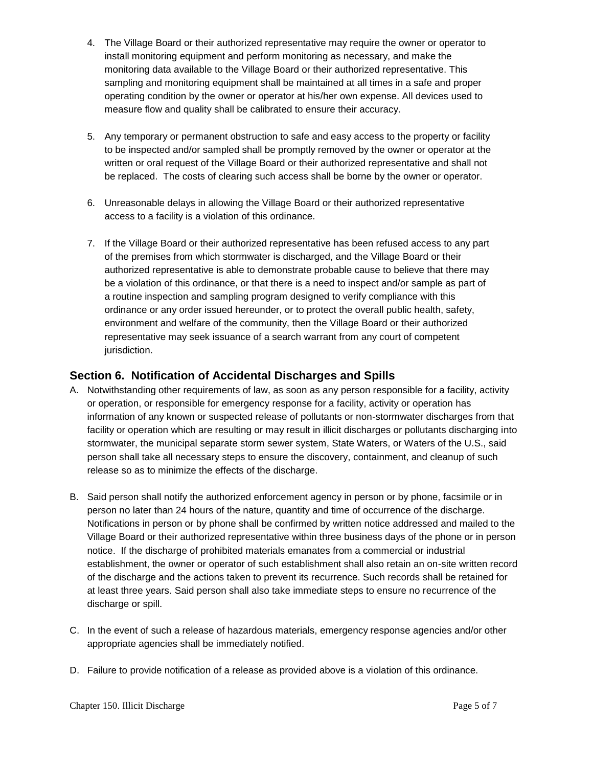- 4. The Village Board or their authorized representative may require the owner or operator to install monitoring equipment and perform monitoring as necessary, and make the monitoring data available to the Village Board or their authorized representative. This sampling and monitoring equipment shall be maintained at all times in a safe and proper operating condition by the owner or operator at his/her own expense. All devices used to measure flow and quality shall be calibrated to ensure their accuracy.
- 5. Any temporary or permanent obstruction to safe and easy access to the property or facility to be inspected and/or sampled shall be promptly removed by the owner or operator at the written or oral request of the Village Board or their authorized representative and shall not be replaced. The costs of clearing such access shall be borne by the owner or operator.
- 6. Unreasonable delays in allowing the Village Board or their authorized representative access to a facility is a violation of this ordinance.
- 7. If the Village Board or their authorized representative has been refused access to any part of the premises from which stormwater is discharged, and the Village Board or their authorized representative is able to demonstrate probable cause to believe that there may be a violation of this ordinance, or that there is a need to inspect and/or sample as part of a routine inspection and sampling program designed to verify compliance with this ordinance or any order issued hereunder, or to protect the overall public health, safety, environment and welfare of the community, then the Village Board or their authorized representative may seek issuance of a search warrant from any court of competent jurisdiction.

## **Section 6. Notification of Accidental Discharges and Spills**

- A. Notwithstanding other requirements of law, as soon as any person responsible for a facility, activity or operation, or responsible for emergency response for a facility, activity or operation has information of any known or suspected release of pollutants or non-stormwater discharges from that facility or operation which are resulting or may result in illicit discharges or pollutants discharging into stormwater, the municipal separate storm sewer system, State Waters, or Waters of the U.S., said person shall take all necessary steps to ensure the discovery, containment, and cleanup of such release so as to minimize the effects of the discharge.
- B. Said person shall notify the authorized enforcement agency in person or by phone, facsimile or in person no later than 24 hours of the nature, quantity and time of occurrence of the discharge. Notifications in person or by phone shall be confirmed by written notice addressed and mailed to the Village Board or their authorized representative within three business days of the phone or in person notice. If the discharge of prohibited materials emanates from a commercial or industrial establishment, the owner or operator of such establishment shall also retain an on-site written record of the discharge and the actions taken to prevent its recurrence. Such records shall be retained for at least three years. Said person shall also take immediate steps to ensure no recurrence of the discharge or spill.
- C. In the event of such a release of hazardous materials, emergency response agencies and/or other appropriate agencies shall be immediately notified.
- D. Failure to provide notification of a release as provided above is a violation of this ordinance.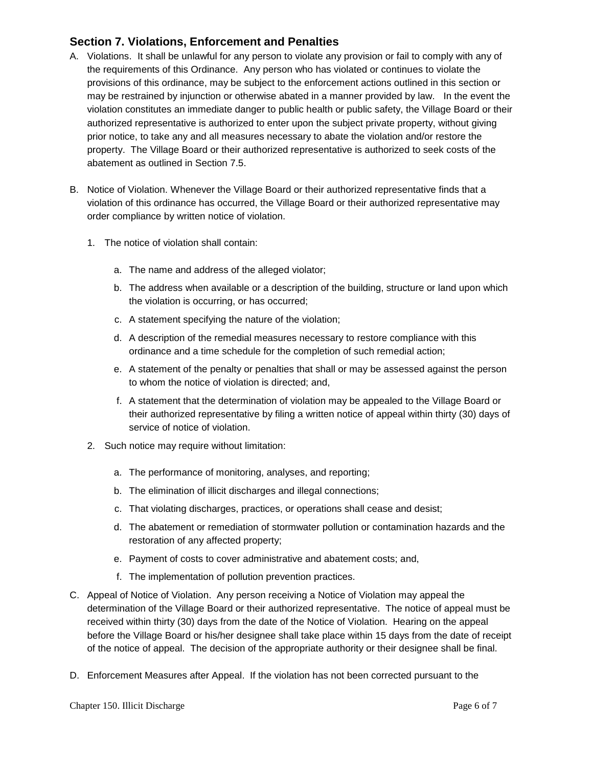# **Section 7. Violations, Enforcement and Penalties**

- A. Violations. It shall be unlawful for any person to violate any provision or fail to comply with any of the requirements of this Ordinance. Any person who has violated or continues to violate the provisions of this ordinance, may be subject to the enforcement actions outlined in this section or may be restrained by injunction or otherwise abated in a manner provided by law. In the event the violation constitutes an immediate danger to public health or public safety, the Village Board or their authorized representative is authorized to enter upon the subject private property, without giving prior notice, to take any and all measures necessary to abate the violation and/or restore the property. The Village Board or their authorized representative is authorized to seek costs of the abatement as outlined in Section 7.5.
- B. Notice of Violation. Whenever the Village Board or their authorized representative finds that a violation of this ordinance has occurred, the Village Board or their authorized representative may order compliance by written notice of violation.
	- 1. The notice of violation shall contain:
		- a. The name and address of the alleged violator;
		- b. The address when available or a description of the building, structure or land upon which the violation is occurring, or has occurred;
		- c. A statement specifying the nature of the violation;
		- d. A description of the remedial measures necessary to restore compliance with this ordinance and a time schedule for the completion of such remedial action;
		- e. A statement of the penalty or penalties that shall or may be assessed against the person to whom the notice of violation is directed; and,
		- f. A statement that the determination of violation may be appealed to the Village Board or their authorized representative by filing a written notice of appeal within thirty (30) days of service of notice of violation.
	- 2. Such notice may require without limitation:
		- a. The performance of monitoring, analyses, and reporting;
		- b. The elimination of illicit discharges and illegal connections;
		- c. That violating discharges, practices, or operations shall cease and desist;
		- d. The abatement or remediation of stormwater pollution or contamination hazards and the restoration of any affected property;
		- e. Payment of costs to cover administrative and abatement costs; and,
		- f. The implementation of pollution prevention practices.
- C. Appeal of Notice of Violation. Any person receiving a Notice of Violation may appeal the determination of the Village Board or their authorized representative. The notice of appeal must be received within thirty (30) days from the date of the Notice of Violation. Hearing on the appeal before the Village Board or his/her designee shall take place within 15 days from the date of receipt of the notice of appeal. The decision of the appropriate authority or their designee shall be final.
- D. Enforcement Measures after Appeal. If the violation has not been corrected pursuant to the